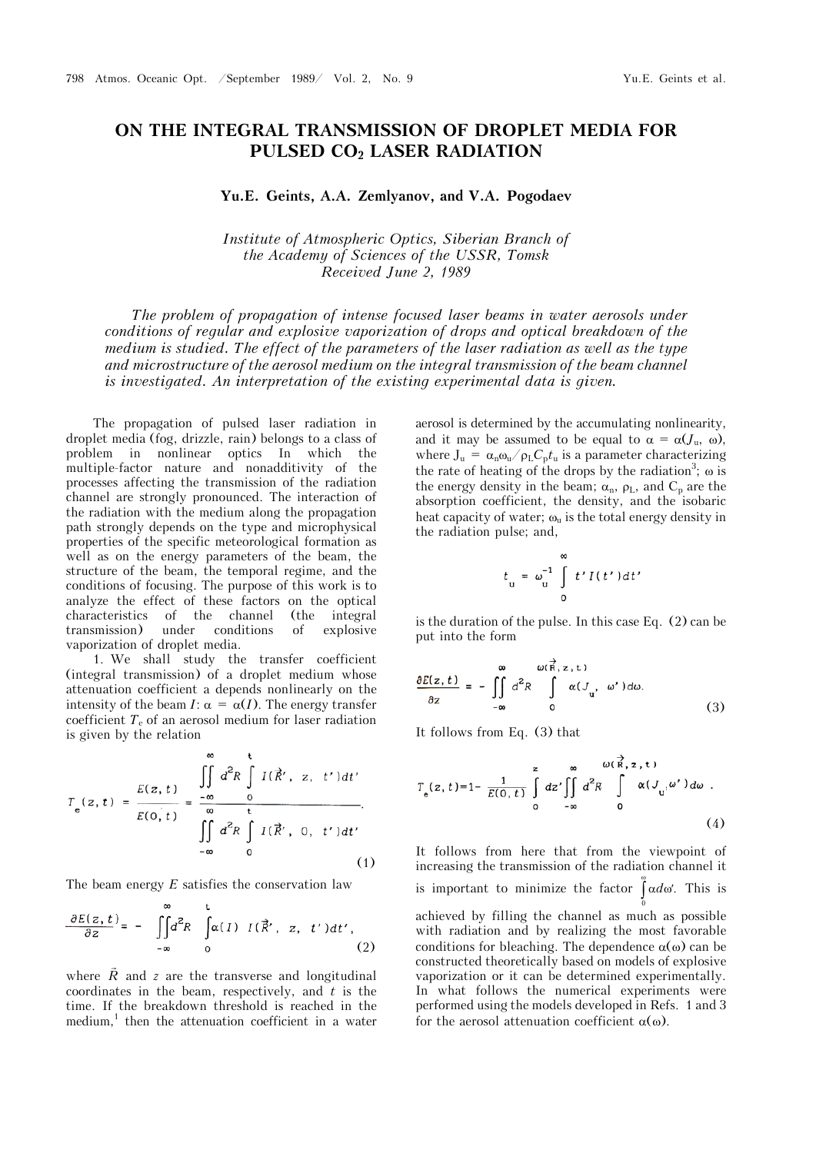## **ON THE INTEGRAL TRANSMISSION OF DROPLET MEDIA FOR PULSED CO2 LASER RADIATION**

## **Yu.E. Geints, A.A. Zemlyanov, and V.A. Pogodaev**

*Institute of Atmospheric Optics, Siberian Branch of the Academy of Sciences of the USSR, Tomsk Received June 2, 1989* 

*The problem of propagation of intense focused laser beams in water aerosols under conditions of regular and explosive vaporization of drops and optical breakdown of the medium is studied. The effect of the parameters of the laser radiation as well as the type and microstructure of the aerosol medium on the integral transmission of the beam channel is investigated. An interpretation of the existing experimental data is given.*

The propagation of pulsed laser radiation in droplet media (fog, drizzle, rain) belongs to a class of problem in nonlinear optics In which the multiple-factor nature and nonadditivity of the processes affecting the transmission of the radiation channel are strongly pronounced. The interaction of the radiation with the medium along the propagation path strongly depends on the type and microphysical properties of the specific meteorological formation as well as on the energy parameters of the beam, the structure of the beam, the temporal regime, and the conditions of focusing. The purpose of this work is to analyze the effect of these factors on the optical characteristics of the channel (the integral transmission) under conditions of explosive vaporization of droplet media.

1. We shall study the transfer coefficient  $(integral transmission) of a droplet medium whose$ attenuation coefficient a depends nonlinearly on the intensity of the beam *I*:  $\alpha = \alpha(I)$ . The energy transfer coefficient  $T<sub>e</sub>$  of an aerosol medium for laser radiation is given by the relation

$$
T_e(z, t) = \frac{E(z, t)}{E(0, t)} = \frac{\iint\limits_{-\infty}^{\infty} d^2 R \int\limits_{0}^{t} I(\vec{R}', z, t') dt'}{\iint\limits_{-\infty}^{\infty} d^2 R \int\limits_{0}^{t} I(\vec{R}', 0, t') dt'}.
$$
\n(1)

The beam energy *E* satisfies the conservation law

$$
\frac{\partial E(z,t)}{\partial z} = - \iint_{-\infty}^{\infty} d^2 R \int_{0}^{t} \alpha(I) I(\vec{R}', z, t') dt',
$$
\n(2)

where  $\vec{R}$  and  $z$  are the transverse and longitudinal coordinates in the beam, respectively, and *t* is the time. If the breakdown threshold is reached in the medium,<sup>1</sup> then the attenuation coefficient in a water aerosol is determined by the accumulating nonlinearity, and it may be assumed to be equal to  $\alpha = \alpha(J_u, \omega)$ , where  $J_u = \alpha_n \omega_u / \rho_L C_p t_u$  is a parameter characterizing the rate of heating of the drops by the radiation<sup>3</sup>;  $\omega$  is the energy density in the beam;  $\alpha_n$ ,  $\rho_L$ , and  $C_p$  are the absorption coefficient, the density, and the isobaric heat capacity of water;  $\omega_u$  is the total energy density in the radiation pulse; and,

$$
t_{\rm u} = \omega_{\rm u}^{-1} \int\limits_{0}^{\infty} t' I(t') dt'
$$

is the duration of the pulse. In this case Eq. (2) can be put into the form

$$
\frac{\partial E(z,t)}{\partial z} = -\iint\limits_{-\infty}^{\infty} d^2 R \int\limits_{0}^{\omega(\vec{R},z,t)} \alpha(J_u, \omega') d\omega.
$$
 (3)

It follows from Eq. (3) that

$$
T_e(z, t) = 1 - \frac{1}{E(0, t)} \int_0^z dz' \iint_0^{\infty} d^2 R \int_0^{\omega(\vec{R}, z, t)} \alpha(J_u, \omega') d\omega
$$
 (4)

It follows from here that from the viewpoint of increasing the transmission of the radiation channel it is important to minimize the factor  $\int \alpha d\omega'$ . This is 0  $\alpha$ achieved by filling the channel as much as possible with radiation and by realizing the most favorable conditions for bleaching. The dependence  $\alpha(\omega)$  can be constructed theoretically based on models of explosive vaporization or it can be determined experimentally. In what follows the numerical experiments were performed using the models developed in Refs. 1 and 3 for the aerosol attenuation coefficient  $\alpha(\omega)$ .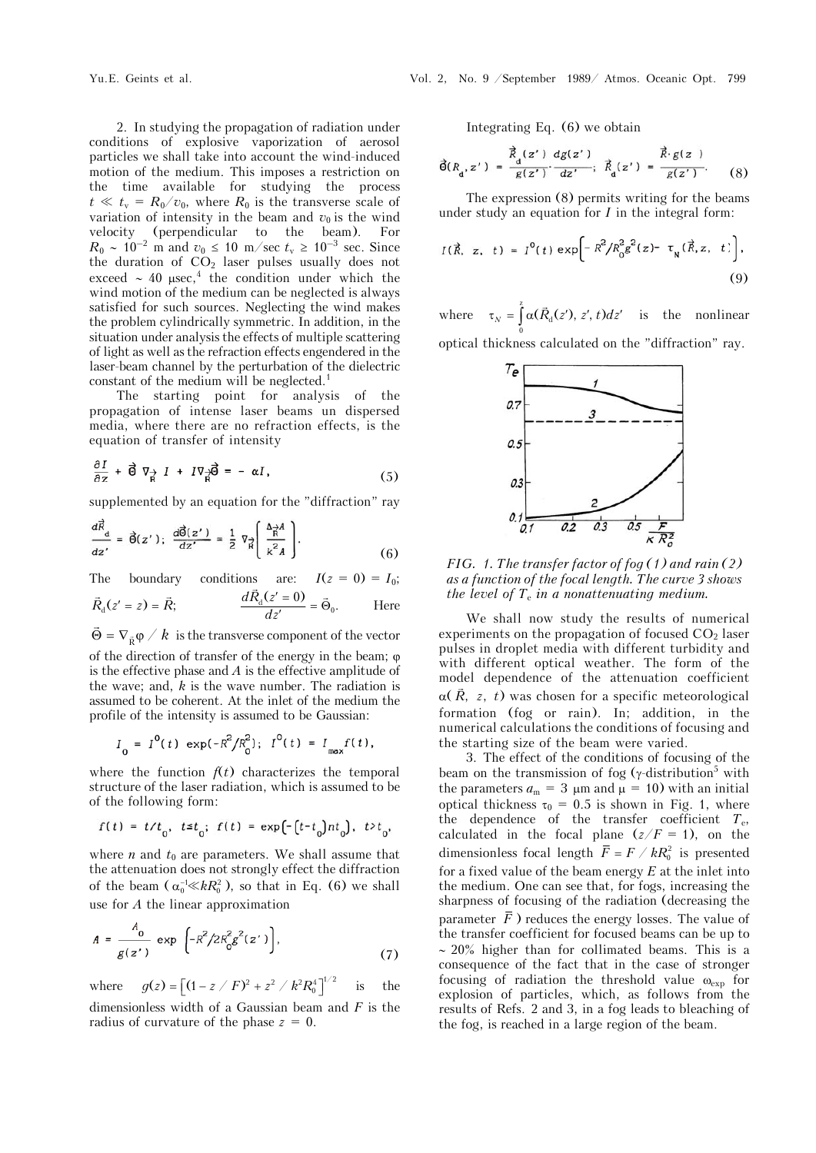2. In studying the propagation of radiation under conditions of explosive vaporization of aerosol particles we shall take into account the wind-induced motion of the medium. This imposes a restriction on the time available for studying the process  $t \ll t_{\rm v} = R_0/v_0$ , where  $R_0$  is the transverse scale of variation of intensity in the beam and  $v_0$  is the wind velocity (perpendicular to the beam). For  $R_0 \sim 10^{-2}$  m and  $v_0 \le 10$  m/sec  $t_v \ge 10^{-3}$  sec. Since the duration of  $CO<sub>2</sub>$  laser pulses usually does not exceed  $\sim$  40  $\mu$ sec,<sup>4</sup> the condition under which the wind motion of the medium can be neglected is always satisfied for such sources. Neglecting the wind makes the problem cylindrically symmetric. In addition, in the situation under analysis the effects of multiple scattering of light as well as the refraction effects engendered in the laser-beam channel by the perturbation of the dielectric constant of the medium will be neglected.<sup>1</sup>

The starting point for analysis of the propagation of intense laser beams un dispersed media, where there are no refraction effects, is the equation of transfer of intensity

$$
\frac{\partial I}{\partial z} + \vec{\Theta} \nabla_{\vec{R}} I + I \nabla_{\vec{R}} \vec{\Theta} = - \alpha I, \qquad (5)
$$

supplemented by an equation for the "diffraction" ray

$$
\frac{d\vec{R}}{dz'} = \vec{\Theta}(z'); \frac{d\vec{\Theta}(z')}{dz'} = \frac{1}{2} \nabla_{\vec{R}} \left( \frac{\Delta_{\vec{R}}}{k^2 A} \right).
$$
 (6)

The boundary conditions are:  $I(z = 0) = I_0$ ;

$$
\vec{R}_d(z'=z) = \vec{R}; \qquad \frac{d\vec{R}_d(z'=0)}{dz'} = \vec{\Theta}_0. \qquad \text{Here}
$$

 $\vec{\Theta} = \nabla_{\vec{R}} \varphi \nearrow k$  is the transverse component of the vector

of the direction of transfer of the energy in the beam;  $\varphi$ is the effective phase and *A* is the effective amplitude of the wave; and,  $k$  is the wave number. The radiation is assumed to be coherent. At the inlet of the medium the profile of the intensity is assumed to be Gaussian:

$$
I_0 = I^0(t) \exp(-R^2/R_0^2); I^0(t) = I_{\max}f(t),
$$

where the function  $f(t)$  characterizes the temporal structure of the laser radiation, which is assumed to be of the following form:

$$
f(t) = t/t_0, \ t \le t_0; \ f(t) = \exp\left[-\left(t - t_0\right)nt_0\right], \ t > t_0,
$$

where  $n$  and  $t_0$  are parameters. We shall assume that the attenuation does not strongly effect the diffraction of the beam  $(\alpha_0^{-1} \ll kR_0^2)$ , so that in Eq. (6) we shall use for *A* the linear approximation

$$
A = \frac{A_0}{g(z')} \exp\left(-R^2/2R_0^2g^2(z')\right),\tag{7}
$$

where  $g(z) = \left[ (1 - z / F)^2 + z^2 / k^2 R_0^4 \right]^{1/2}$  is the dimensionless width of a Gaussian beam and *F* is the radius of curvature of the phase *z* = 0.

Integrating Eq. (6) we obtain

$$
\vec{\theta}(R_{\mathbf{d}}, z') = \frac{\vec{R}_{\mathbf{d}}(z')}{g(z')} \cdot \frac{dg(z')}{dz'}; \ \ \vec{R}_{\mathbf{d}}(z') = \frac{\vec{R} \cdot g(z')}{g(z')}.
$$
 (8)

The expression (8) permits writing for the beams under study an equation for *I* in the integral form:

$$
I(\vec{R}, z, t) = I^{0}(t) \exp \left[-R^{2}/R_{0}^{2}g^{2}(z) - \tau_{N}(\vec{R}, z, t)\right],
$$
\n(9)

where  $\tau_N = \int_0^2$  $\tau_N = \int_0^z \alpha(\vec{R}_d(z'), z', t) dz'$  is the nonlinear 0 optical thickness calculated on the "diffraction" ray.



*FIG. 1. The transfer factor of fog (1) and rain (2) as a function of the focal length. The curve 3 shows the level of T*e *in a nonattenuating medium.*

We shall now study the results of numerical experiments on the propagation of focused  $CO<sub>2</sub>$  laser pulses in droplet media with different turbidity and with different optical weather. The form of the model dependence of the attenuation coefficient  $\alpha(\vec{R}, z, t)$  was chosen for a specific meteorological formation (fog or rain). In; addition, in the numerical calculations the conditions of focusing and the starting size of the beam were varied.

3. The effect of the conditions of focusing of the beam on the transmission of fog  $(\gamma$ -distribution<sup>5</sup> with the parameters  $a_m = 3 \mu m$  and  $\mu = 10$ ) with an initial optical thickness  $\tau_0 = 0.5$  is shown in Fig. 1, where the dependence of the transfer coefficient  $T_{e}$ , calculated in the focal plane  $(z/F = 1)$ , on the dimensionless focal length  $\overline{F} = F / kR_0^2$  is presented for a fixed value of the beam energy *E* at the inlet into the medium. One can see that, for fogs, increasing the sharpness of focusing of the radiation (decreasing the parameter  $\bar{F}$ ) reduces the energy losses. The value of the transfer coefficient for focused beams can be up to  $\sim$  20% higher than for collimated beams. This is a consequence of the fact that in the case of stronger focusing of radiation the threshold value  $\omega_{\exp}$  for explosion of particles, which, as follows from the results of Refs. 2 and 3, in a fog leads to bleaching of the fog, is reached in a large region of the beam.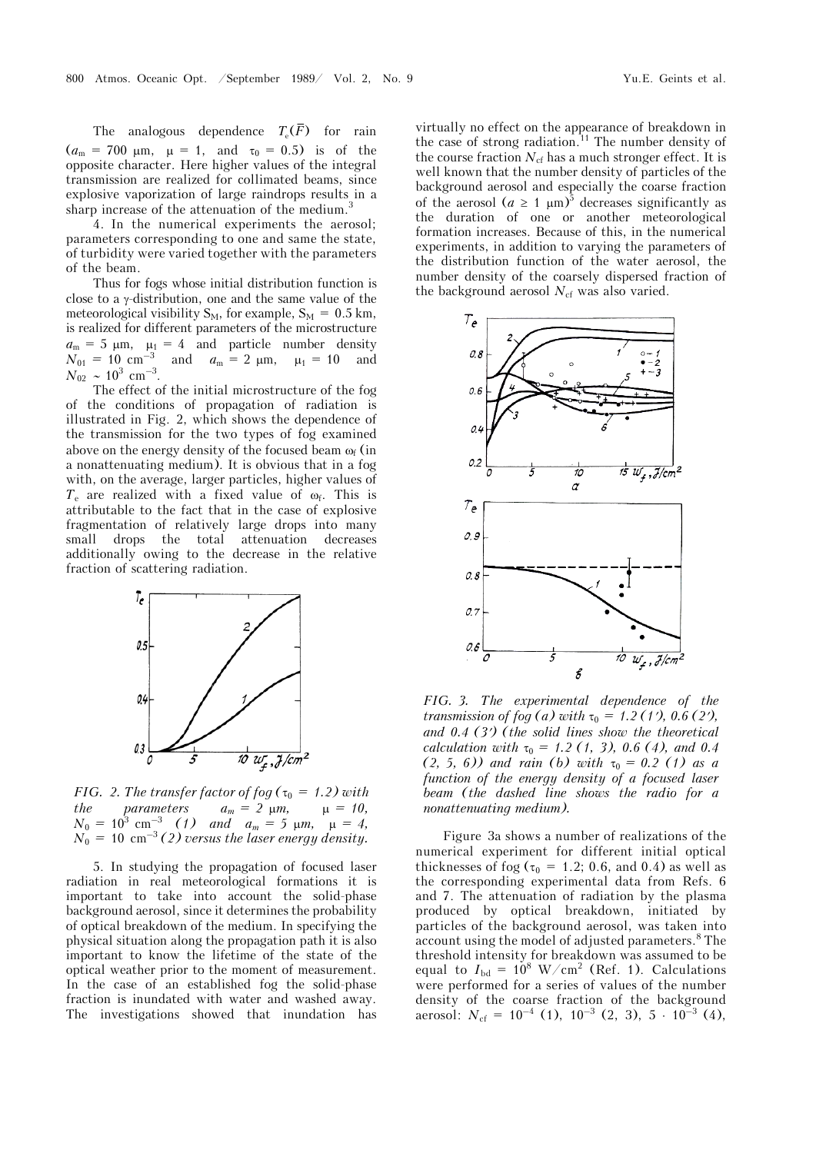The analogous dependence  $T_e(\overline{F})$  for rain  $(a_m = 700 \mu m, \mu = 1, \text{ and } \tau_0 = 0.5) \text{ is of the}$ opposite character. Here higher values of the integral transmission are realized for collimated beams, since explosive vaporization of large raindrops results in a sharp increase of the attenuation of the medium.<sup>3</sup>

4. In the numerical experiments the aerosol; parameters corresponding to one and same the state, of turbidity were varied together with the parameters of the beam.

Thus for fogs whose initial distribution function is close to a  $\gamma$ -distribution, one and the same value of the meteorological visibility  $S_M$ , for example,  $S_M = 0.5$  km, is realized for different parameters of the microstructure  $a_m = 5 \mu m$ ,  $\mu_1 = 4$  and particle number density  $N_{01} = 10 \text{ cm}^{-3}$  and  $a_m = 2 \text{ }\mu\text{m}, \quad \mu_1 = 10 \text{ and}$  $N_{02} \sim 10^3 \text{ cm}^{-3}$ .

The effect of the initial microstructure of the fog of the conditions of propagation of radiation is illustrated in Fig. 2, which shows the dependence of the transmission for the two types of fog examined above on the energy density of the focused beam  $\omega_f$  (in a nonattenuating medium). It is obvious that in a fog with, on the average, larger particles, higher values of  $T_e$  are realized with a fixed value of  $\omega_f$ . This is attributable to the fact that in the case of explosive fragmentation of relatively large drops into many small drops the total attenuation decreases additionally owing to the decrease in the relative fraction of scattering radiation.



*FIG. 2. The transfer factor of fog* ( $\tau_0$  = 1.2) with *the parameters*  $a_m = 2 \mu m$ ,  $\mu = 10$ ,  $N_0 = 10^3$  cm<sup>-3</sup> (1) and  $a_m = 5$   $\mu$ m,  $\mu = 4$ ,  $N_0 = 10 \, \text{ cm}^{-3}$  (2) versus the laser energy density.

5. In studying the propagation of focused laser radiation in real meteorological formations it is important to take into account the solid-phase background aerosol, since it determines the probability of optical breakdown of the medium. In specifying the physical situation along the propagation path it is also important to know the lifetime of the state of the optical weather prior to the moment of measurement. In the case of an established fog the solid-phase fraction is inundated with water and washed away. The investigations showed that inundation has

virtually no effect on the appearance of breakdown in the case of strong radiation.<sup>11</sup> The number density of the course fraction  $N_{\rm cf}$  has a much stronger effect. It is well known that the number density of particles of the background aerosol and especially the coarse fraction of the aerosol  $(a \ge 1 \mu m)^5$  decreases significantly as the duration of one or another meteorological formation increases. Because of this, in the numerical experiments, in addition to varying the parameters of the distribution function of the water aerosol, the number density of the coarsely dispersed fraction of the background aerosol  $N_{cf}$  was also varied.



*FIG. 3. The experimental dependence of the transmission of fog (a) with*  $\tau_0 = 1.2$  (1'), 0.6 (2'), *and 0.4 (3) (the solid lines show the theoretical calculation with*  $\tau_0 = 1.2$  (1, 3), 0.6 (4), and 0.4  $(2, 5, 6)$  and rain (b) with  $\tau_0 = 0.2$  (1) as a *function of the energy density of a focused laser beam (the dashed line shows the radio for a nonattenuating medium).*

Figure 3a shows a number of realizations of the numerical experiment for different initial optical thicknesses of fog ( $\tau_0$  = 1.2; 0.6, and 0.4) as well as the corresponding experimental data from Refs. 6 and 7. The attenuation of radiation by the plasma produced by optical breakdown, initiated by particles of the background aerosol, was taken into account using the model of adjusted parameters.<sup>8</sup> The threshold intensity for breakdown was assumed to be equal to  $I_{\text{bd}} = 10^8 \text{ W/cm}^2$  (Ref. 1). Calculations were performed for a series of values of the number density of the coarse fraction of the background aerosol:  $N_{\text{cf}} = 10^{-4}$  (1),  $10^{-3}$  (2, 3),  $5 \cdot 10^{-3}$  (4),